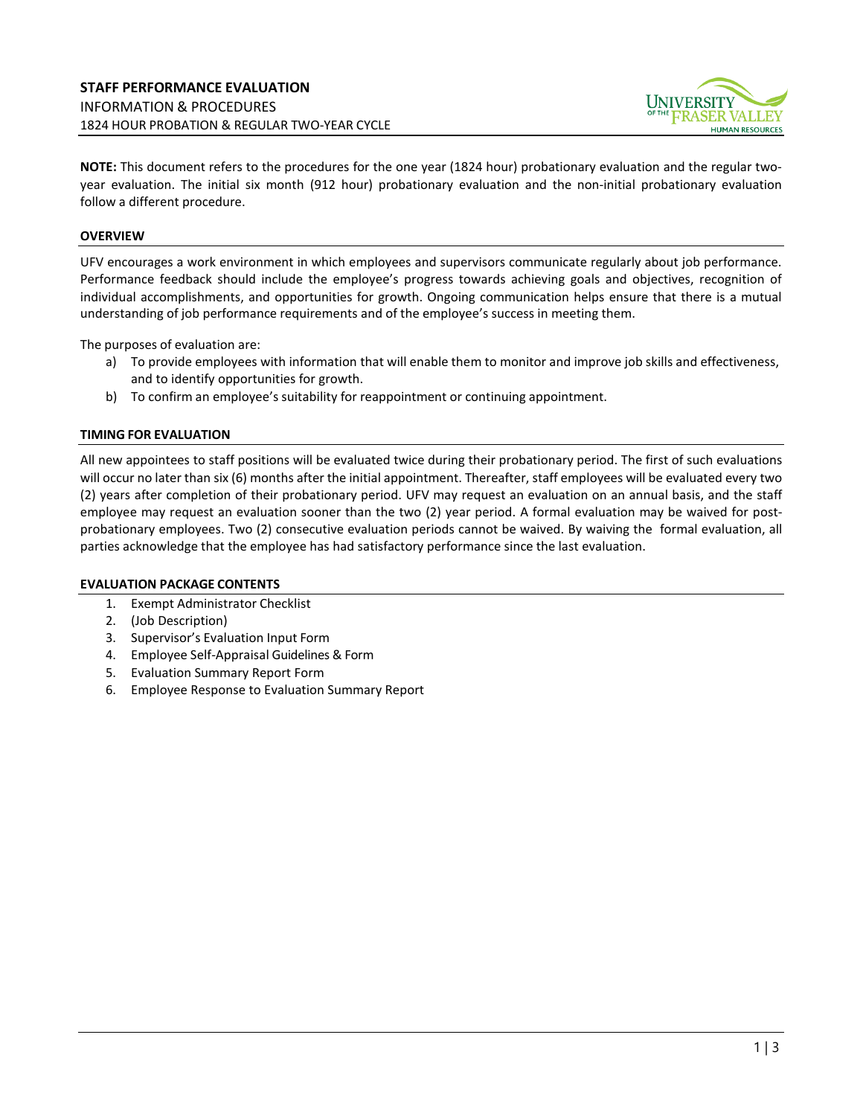

**NOTE:** This document refers to the procedures for the one year (1824 hour) probationary evaluation and the regular twoyear evaluation. The initial six month (912 hour) probationary evaluation and the non-initial probationary evaluation follow a different procedure.

## **OVERVIEW**

UFV encourages a work environment in which employees and supervisors communicate regularly about job performance. Performance feedback should include the employee's progress towards achieving goals and objectives, recognition of individual accomplishments, and opportunities for growth. Ongoing communication helps ensure that there is a mutual understanding of job performance requirements and of the employee's success in meeting them.

The purposes of evaluation are:

- a) To provide employees with information that will enable them to monitor and improve job skills and effectiveness, and to identify opportunities for growth.
- b) To confirm an employee's suitability for reappointment or continuing appointment.

## **TIMING FOR EVALUATION**

All new appointees to staff positions will be evaluated twice during their probationary period. The first of such evaluations will occur no later than six (6) months after the initial appointment. Thereafter, staff employees will be evaluated every two (2) years after completion of their probationary period. UFV may request an evaluation on an annual basis, and the staff employee may request an evaluation sooner than the two (2) year period. A formal evaluation may be waived for postprobationary employees. Two (2) consecutive evaluation periods cannot be waived. By waiving the formal evaluation, all parties acknowledge that the employee has had satisfactory performance since the last evaluation.

## **EVALUATION PACKAGE CONTENTS**

- 1. Exempt Administrator Checklist
- 2. (Job Description)
- 3. Supervisor's Evaluation Input Form
- 4. Employee Self-Appraisal Guidelines & Form
- 5. Evaluation Summary Report Form
- 6. Employee Response to Evaluation Summary Report